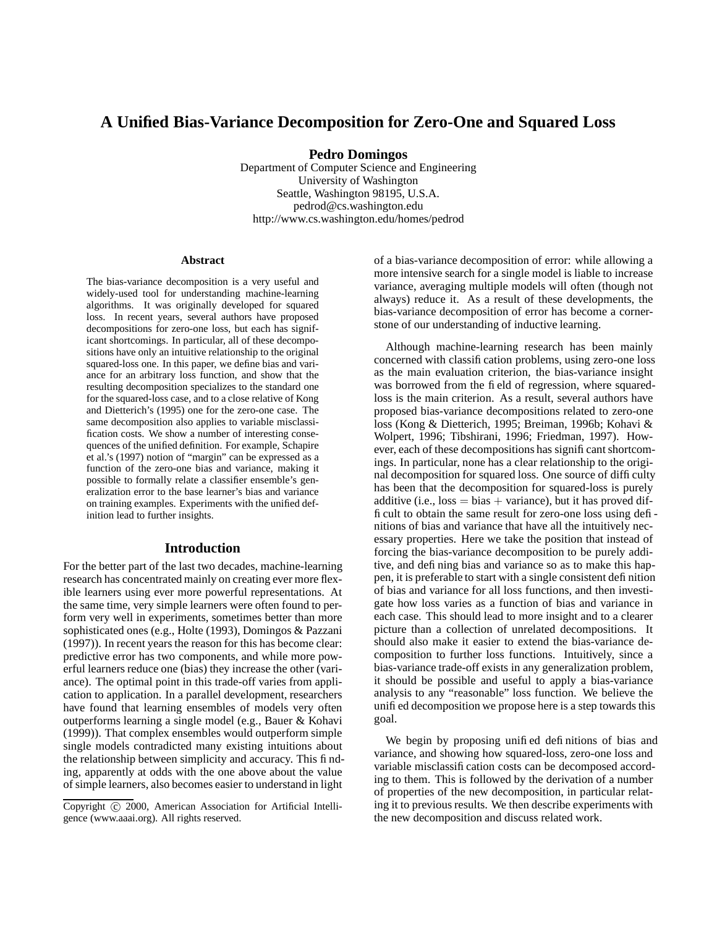# **A Unified Bias-Variance Decomposition for Zero-One and Squared Loss**

**Pedro Domingos**

Department of Computer Science and Engineering University of Washington Seattle, Washington 98195, U.S.A. pedrod@cs.washington.edu http://www.cs.washington.edu/homes/pedrod

#### **Abstract**

The bias-variance decomposition is a very useful and widely-used tool for understanding machine-learning algorithms. It was originally developed for squared loss. In recent years, several authors have proposed decompositions for zero-one loss, but each has significant shortcomings. In particular, all of these decompositions have only an intuitive relationship to the original squared-loss one. In this paper, we define bias and variance for an arbitrary loss function, and show that the resulting decomposition specializes to the standard one for the squared-loss case, and to a close relative of Kong and Dietterich's (1995) one for the zero-one case. The same decomposition also applies to variable misclassification costs. We show a number of interesting consequences of the unified definition. For example, Schapire et al.'s (1997) notion of "margin" can be expressed as a function of the zero-one bias and variance, making it possible to formally relate a classifier ensemble's generalization error to the base learner's bias and variance on training examples. Experiments with the unified definition lead to further insights.

### **Introduction**

For the better part of the last two decades, machine-learning research has concentrated mainly on creating ever more flexible learners using ever more powerful representations. At the same time, very simple learners were often found to perform very well in experiments, sometimes better than more sophisticated ones (e.g., Holte (1993), Domingos & Pazzani (1997)). In recent years the reason for this has become clear: predictive error has two components, and while more powerful learners reduce one (bias) they increase the other (variance). The optimal point in this trade-off varies from application to application. In a parallel development, researchers have found that learning ensembles of models very often outperforms learning a single model (e.g., Bauer & Kohavi (1999)). That complex ensembles would outperform simple single models contradicted many existing intuitions about the relationship between simplicity and accuracy. This finding, apparently at odds with the one above about the value of simple learners, also becomes easier to understand in light of a bias-variance decomposition of error: while allowing a more intensive search for a single model is liable to increase variance, averaging multiple models will often (though not always) reduce it. As a result of these developments, the bias-variance decomposition of error has become a cornerstone of our understanding of inductive learning.

Although machine-learning research has been mainly concerned with classification problems, using zero-one loss as the main evaluation criterion, the bias-variance insight was borrowed from the field of regression, where squaredloss is the main criterion. As a result, several authors have proposed bias-variance decompositions related to zero-one loss (Kong & Dietterich, 1995; Breiman, 1996b; Kohavi & Wolpert, 1996; Tibshirani, 1996; Friedman, 1997). However, each of these decompositions has significant shortcomings. In particular, none has a clear relationship to the original decomposition for squared loss. One source of difficulty has been that the decomposition for squared-loss is purely additive (i.e.,  $loss = bias + variance$ ), but it has proved difficult to obtain the same result for zero-one loss using definitions of bias and variance that have all the intuitively necessary properties. Here we take the position that instead of forcing the bias-variance decomposition to be purely additive, and defining bias and variance so as to make this happen, it is preferable to start with a single consistent definition of bias and variance for all loss functions, and then investigate how loss varies as a function of bias and variance in each case. This should lead to more insight and to a clearer picture than a collection of unrelated decompositions. It should also make it easier to extend the bias-variance decomposition to further loss functions. Intuitively, since a bias-variance trade-off exists in any generalization problem, it should be possible and useful to apply a bias-variance analysis to any "reasonable" loss function. We believe the unified decomposition we propose here is a step towards this goal.

We begin by proposing unified definitions of bias and variance, and showing how squared-loss, zero-one loss and variable misclassification costs can be decomposed according to them. This is followed by the derivation of a number of properties of the new decomposition, in particular relating it to previous results. We then describe experiments with the new decomposition and discuss related work.

Copyright © 2000, American Association for Artificial Intelligence (www.aaai.org). All rights reserved.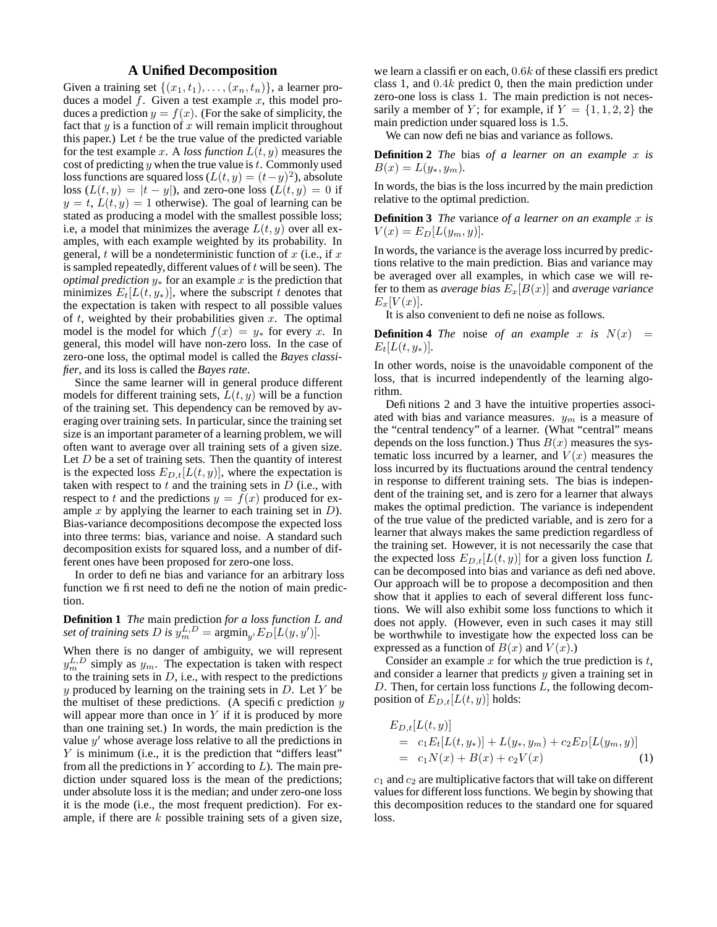## **A Unified Decomposition**

Given a training set  $\{(x_1,t_1), \ldots, (x_n,t_n)\}\)$ , a learner produces a model  $f$ . Given a test example  $x$ , this model produces a prediction  $y = f(x)$ . (For the sake of simplicity, the fact that  $y$  is a function of  $x$  will remain implicit throughout this paper.) Let  $t$  be the true value of the predicted variable for the test example x. A *loss function*  $L(t, y)$  measures the cost of predicting  $y$  when the true value is  $t$ . Commonly used loss functions are squared loss  $(L(t, y) = (t - y)^2)$ , absolute loss  $(L(t, y) = |t - y|)$ , and zero-one loss  $(L(t, y) = 0$  if  $y = t$ ,  $L(t, y) = 1$  otherwise). The goal of learning can be stated as producing a model with the smallest possible loss; i.e, a model that minimizes the average  $L(t, y)$  over all examples, with each example weighted by its probability. In general, t will be a nondeterministic function of  $x$  (i.e., if  $x$ ) is sampled repeatedly, different values of  $t$  will be seen). The *optimal prediction*  $y_*$  for an example x is the prediction that minimizes  $E_t[L(t, y_*)]$ , where the subscript t denotes that the expectation is taken with respect to all possible values of  $t$ , weighted by their probabilities given  $x$ . The optimal model is the model for which  $f(x) = y_*$  for every x. In general, this model will have non-zero loss. In the case of zero-one loss, the optimal model is called the *Bayes classifier*, and its loss is called the *Bayes rate*.

Since the same learner will in general produce different models for different training sets,  $L(t, y)$  will be a function of the training set. This dependency can be removed by averaging over training sets. In particular, since the training set size is an important parameter of a learning problem, we will often want to average over all training sets of a given size. Let  $D$  be a set of training sets. Then the quantity of interest is the expected loss  $E_{D,t}[L(t, y)]$ , where the expectation is taken with respect to  $t$  and the training sets in  $D$  (i.e., with respect to t and the predictions  $y = f(x)$  produced for example  $x$  by applying the learner to each training set in  $D$ ). Bias-variance decompositions decompose the expected loss into three terms: bias, variance and noise. A standard such decomposition exists for squared loss, and a number of different ones have been proposed for zero-one loss.

In order to define bias and variance for an arbitrary loss function we first need to define the notion of main prediction.

## **Definition 1** *The* main prediction *for a loss function* L *and set of training sets*  $D$  *is*  $y_m^{L,D} = \text{argmin}_{y'} E_D[L(y, y')]$ .

When there is no danger of ambiguity, we will represent  $y_m^L$  simply as  $y_m$ . The expectation is taken with respect to the training sets in  $D$ , i.e., with respect to the predictions  $y$  produced by learning on the training sets in  $D$ . Let  $Y$  be the multiset of these predictions. (A specific prediction  $y$ will appear more than once in  $Y$  if it is produced by more than one training set.) In words, the main prediction is the value  $y'$  whose average loss relative to all the predictions in Y is minimum (i.e., it is the prediction that "differs least" from all the predictions in  $Y$  according to  $L$ ). The main prediction under squared loss is the mean of the predictions; under absolute loss it is the median; and under zero-one loss it is the mode (i.e., the most frequent prediction). For example, if there are  $k$  possible training sets of a given size,

we learn a classifier on each, 0.6k of these classifiers predict class 1, and 0.4k predict 0, then the main prediction under zero-one loss is class 1. The main prediction is not necessarily a member of Y; for example, if  $Y = \{1, 1, 2, 2\}$  the main prediction under squared loss is 1.5.

We can now define bias and variance as follows.

**Definition 2** *The* bias *of a learner on an example* x *is*  $B(x) = L(y_*, y_m)$ .

In words, the bias is the loss incurred by the main prediction relative to the optimal prediction.

**Definition 3** *The* variance *of a learner on an example* x *is*  $V(x) = E_D[L(y_m, y)].$ 

In words, the variance is the average loss incurred by predictions relative to the main prediction. Bias and variance may be averaged over all examples, in which case we will refer to them as *average* bias  $E_x[B(x)]$  and *average variance*  $E_x[V(x)].$ 

It is also convenient to define noise as follows.

**Definition 4** *The* noise *of an example* x *is*  $N(x)$  =  $E_t[L(t, y_*)]$ .

In other words, noise is the unavoidable component of the loss, that is incurred independently of the learning algorithm.

Definitions 2 and 3 have the intuitive properties associated with bias and variance measures.  $y_m$  is a measure of the "central tendency" of a learner. (What "central" means depends on the loss function.) Thus  $B(x)$  measures the systematic loss incurred by a learner, and  $V(x)$  measures the loss incurred by its fluctuations around the central tendency in response to different training sets. The bias is independent of the training set, and is zero for a learner that always makes the optimal prediction. The variance is independent of the true value of the predicted variable, and is zero for a learner that always makes the same prediction regardless of the training set. However, it is not necessarily the case that the expected loss  $E_{D,t}[L(t, y)]$  for a given loss function L can be decomposed into bias and variance as defined above. Our approach will be to propose a decomposition and then show that it applies to each of several different loss functions. We will also exhibit some loss functions to which it does not apply. (However, even in such cases it may still be worthwhile to investigate how the expected loss can be expressed as a function of  $B(x)$  and  $V(x)$ .)

Consider an example  $x$  for which the true prediction is  $t$ , and consider a learner that predicts  $y$  given a training set in  $D$ . Then, for certain loss functions  $L$ , the following decomposition of  $E_{D,t}[L(t, y)]$  holds:

$$
E_{D,t}[L(t,y)]
$$
  
= c<sub>1</sub>E<sub>t</sub>[L(t,y<sub>\*</sub>)] + L(y<sub>\*</sub>, y<sub>m</sub>) + c<sub>2</sub>E<sub>D</sub>[L(y<sub>m</sub>, y)]  
= c<sub>1</sub>N(x) + B(x) + c<sub>2</sub>V(x) (1)

 $c_1$  and  $c_2$  are multiplicative factors that will take on different values for different loss functions. We begin by showing that this decomposition reduces to the standard one for squared loss.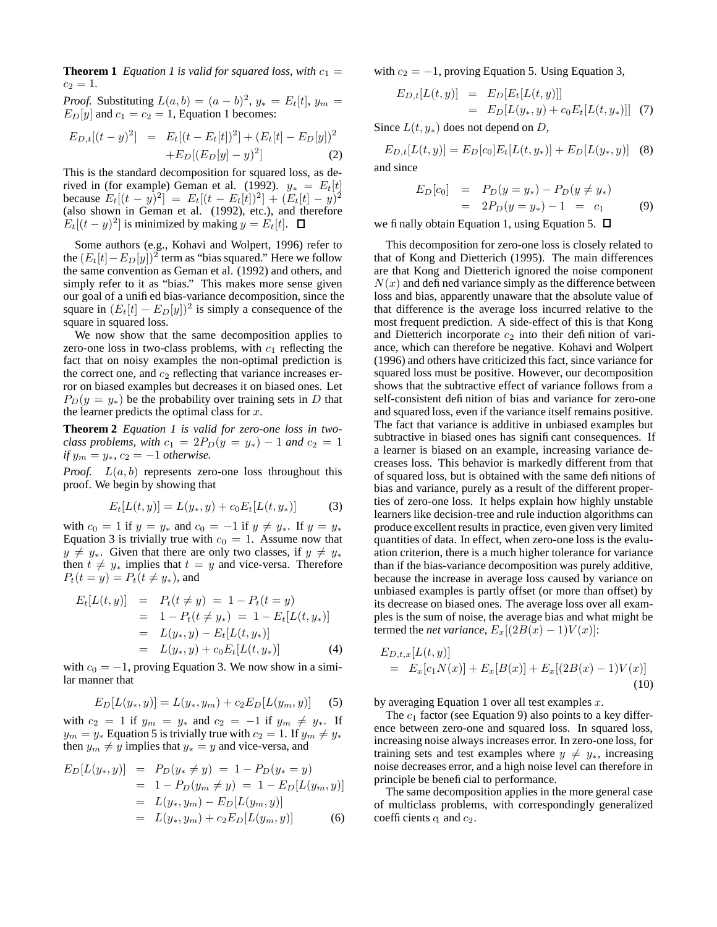**Theorem 1** *Equation 1 is valid for squared loss, with*  $c_1 =$  $c_2 = 1$ .

*Proof.* Substituting  $L(a, b) = (a - b)^2$ ,  $y_* = E_t[t]$ ,  $y_m =$  $E_D[y]$  and  $c_1 = c_2 = 1$ , Equation 1 becomes:

$$
E_{D,t}[(t-y)^2] = E_t[(t-E_t[t])^2] + (E_t[t] - E_D[y])^2
$$
  
+
$$
E_D[(E_D[y] - y)^2]
$$
 (2)

This is the standard decomposition for squared loss, as derived in (for example) Geman et al. (1992).  $y_* = E_t[t]$ because  $E_t[(t-y)^2] = E_t[(t-E_t[t])^2] + (E_t[t]-y)^2$ (also shown in Geman et al. (1992), etc.), and therefore  $E_t[(t-y)^2]$  is minimized by making  $y = E_t[t]$ .

Some authors (e.g., Kohavi and Wolpert, 1996) refer to the  $(E_t[t]-E_D[y])^2$  term as "bias squared." Here we follow the same convention as Geman et al. (1992) and others, and simply refer to it as "bias." This makes more sense given our goal of a unified bias-variance decomposition, since the square in  $(E_t[t] - E_D[y])^2$  is simply a consequence of the square in squared loss.

We now show that the same decomposition applies to zero-one loss in two-class problems, with  $c_1$  reflecting the fact that on noisy examples the non-optimal prediction is the correct one, and  $c_2$  reflecting that variance increases error on biased examples but decreases it on biased ones. Let  $P_D(y = y_*)$  be the probability over training sets in D that the learner predicts the optimal class for  $x$ .

**Theorem 2** *Equation 1 is valid for zero-one loss in twoclass problems, with*  $c_1 = 2P_D(y = y_*) - 1$  *and*  $c_2 = 1$ *if*  $y_m = y_*$ ,  $c_2 = -1$  *otherwise.* 

*Proof.*  $L(a, b)$  represents zero-one loss throughout this proof. We begin by showing that

$$
E_t[L(t, y)] = L(y_*, y) + c_0 E_t[L(t, y_*)]
$$
 (3)

with  $c_0 = 1$  if  $y = y_*$  and  $c_0 = -1$  if  $y \neq y_*$ . If  $y = y_*$ Equation 3 is trivially true with  $c_0 = 1$ . Assume now that  $y \neq y_*$ . Given that there are only two classes, if  $y \neq y_*$ then  $t \neq y_*$  implies that  $t = y$  and vice-versa. Therefore  $P_t(t = y) = P_t(t \neq y_*)$ , and

$$
E_t[L(t, y)] = P_t(t \neq y) = 1 - P_t(t = y)
$$
  
= 1 - P\_t(t \neq y\_\*) = 1 - E\_t[L(t, y\_\*)]  
= L(y\_\*, y) - E\_t[L(t, y\_\*)]  
= L(y\_\*, y) + c\_0 E\_t[L(t, y\_\*)](4)

with  $c_0 = -1$ , proving Equation 3. We now show in a similar manner that

$$
E_D[L(y_*, y)] = L(y_*, y_m) + c_2 E_D[L(y_m, y)] \tag{5}
$$

with  $c_2 = 1$  if  $y_m = y_*$  and  $c_2 = -1$  if  $y_m \neq y_*$ . If  $y_m = y_*$  Equation 5 is trivially true with  $c_2 = 1$ . If  $y_m \neq y_*$ then  $y_m \neq y$  implies that  $y_* = y$  and vice-versa, and

$$
E_D[L(y_*, y)] = P_D(y_* \neq y) = 1 - P_D(y_* = y)
$$
  
= 1 - P\_D(y\_m \neq y) = 1 - E\_D[L(y\_m, y)]  
= L(y\_\*, y\_m) - E\_D[L(y\_m, y)]  
= L(y\_\*, y\_m) + c\_2 E\_D[L(y\_m, y)] (6)

with  $c_2 = -1$ , proving Equation 5. Using Equation 3,

$$
E_{D,t}[L(t,y)] = E_D[E_t[L(t,y)]]
$$
  
=  $E_D[L(y_*,y) + c_0E_t[L(t,y_*)]]$  (7)

Since  $L(t, y_*)$  does not depend on D,

 $E_{D,t}[L(t, y)] = E_D[c_0]E_t[L(t, y_*)] + E_D[L(y_*, y)]$  (8) and since

$$
E_D[c_0] = P_D(y = y_*) - P_D(y \neq y_*)
$$
  
=  $2P_D(y = y_*) - 1 = c_1$  (9)

we finally obtain Equation 1, using Equation 5.  $\Box$ 

This decomposition for zero-one loss is closely related to that of Kong and Dietterich (1995). The main differences are that Kong and Dietterich ignored the noise component  $N(x)$  and defined variance simply as the difference between loss and bias, apparently unaware that the absolute value of that difference is the average loss incurred relative to the most frequent prediction. A side-effect of this is that Kong and Dietterich incorporate  $c_2$  into their definition of variance, which can therefore be negative. Kohavi and Wolpert (1996) and others have criticized this fact, since variance for squared loss must be positive. However, our decomposition shows that the subtractive effect of variance follows from a self-consistent definition of bias and variance for zero-one and squared loss, even if the variance itself remains positive. The fact that variance is additive in unbiased examples but subtractive in biased ones has significant consequences. If a learner is biased on an example, increasing variance decreases loss. This behavior is markedly different from that of squared loss, but is obtained with the same definitions of bias and variance, purely as a result of the different properties of zero-one loss. It helps explain how highly unstable learners like decision-tree and rule induction algorithms can produce excellent results in practice, even given very limited quantities of data. In effect, when zero-one loss is the evaluation criterion, there is a much higher tolerance for variance than if the bias-variance decomposition was purely additive, because the increase in average loss caused by variance on unbiased examples is partly offset (or more than offset) by its decrease on biased ones. The average loss over all examples is the sum of noise, the average bias and what might be termed the *net variance*,  $E_x[(2B(x) - 1)V(x)]$ :

$$
E_{D,t,x}[L(t,y)]\n= E_x[c_1N(x)] + E_x[B(x)] + E_x[(2B(x) - 1)V(x)]
$$
\n(10)

by averaging Equation 1 over all test examples  $x$ .

The  $c_1$  factor (see Equation 9) also points to a key difference between zero-one and squared loss. In squared loss, increasing noise always increases error. In zero-one loss, for training sets and test examples where  $y \neq y_*$ , increasing noise decreases error, and a high noise level can therefore in principle be beneficial to performance.

The same decomposition applies in the more general case of multiclass problems, with correspondingly generalized coefficients q and  $c_2$ .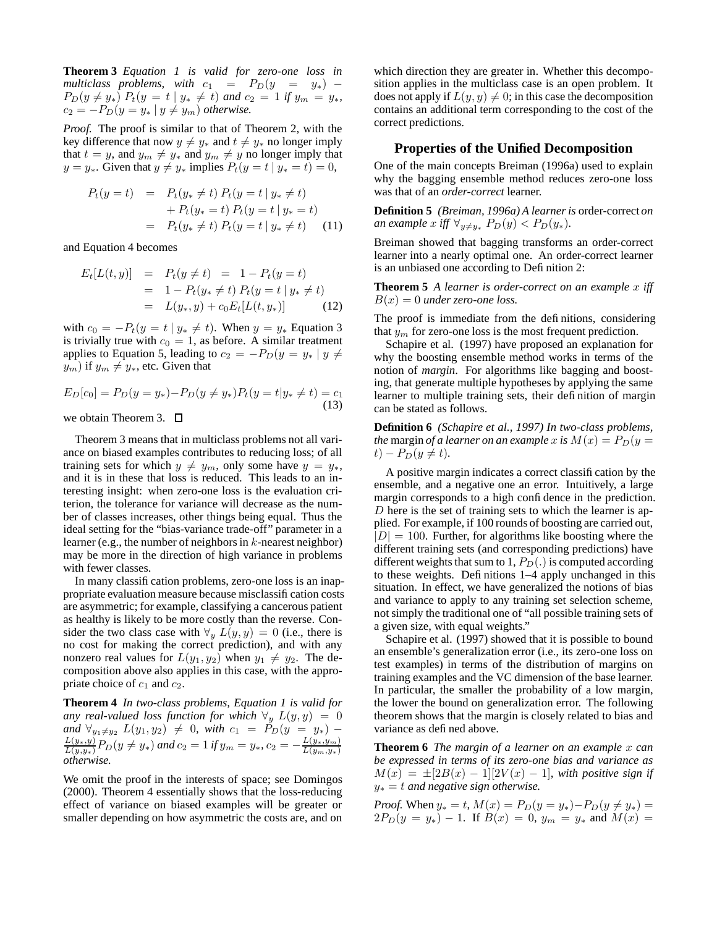**Theorem 3** *Equation 1 is valid for zero-one loss in*  $multiclass\$ \ problems, with\ c\_1 = P\_D(y = y\_\*) - $P_D(y \neq y_*)$   $P_t(y = t | y_* \neq t)$  and  $c_2 = 1$  *if*  $y_m = y_*$ *,*  $c_2 = -P_D(y = y_* | y \neq y_m)$  *otherwise.* 

*Proof.* The proof is similar to that of Theorem 2, with the key difference that now  $y \neq y_*$  and  $t \neq y_*$  no longer imply that  $t = y$ , and  $y_m \neq y_*$  and  $y_m \neq y$  no longer imply that  $y = y_*$ . Given that  $y \neq y_*$  implies  $P_t(y = t | y_* = t) = 0$ ,

$$
P_t(y = t) = P_t(y_* \neq t) P_t(y = t | y_* \neq t)
$$
  
+ 
$$
P_t(y_* = t) P_t(y = t | y_* = t)
$$
  
= 
$$
P_t(y_* \neq t) P_t(y = t | y_* \neq t)
$$
 (11)

and Equation 4 becomes

$$
E_t[L(t, y)] = P_t(y \neq t) = 1 - P_t(y = t)
$$
  
= 1 - P\_t(y\_\* \neq t) P\_t(y = t | y\_\* \neq t)  
= L(y\_\*, y) + c\_0 E\_t[L(t, y\_\*)](12)

with  $c_0 = -P_t(y = t | y_* \neq t)$ . When  $y = y_*$  Equation 3 is trivially true with  $c_0 = 1$ , as before. A similar treatment applies to Equation 5, leading to  $c_2 = -P_D(y = y_* | y \neq 0)$  $(y_m)$  if  $y_m \neq y_*$ , etc. Given that

$$
E_D[c_0] = P_D(y = y_*) - P_D(y \neq y_*)P_t(y = t|y_* \neq t) = c_1
$$
\n(13)

we obtain Theorem 3.  $\Box$ 

Theorem 3 means that in multiclass problems not all variance on biased examples contributes to reducing loss; of all training sets for which  $y \neq y_m$ , only some have  $y = y_*$ , and it is in these that loss is reduced. This leads to an interesting insight: when zero-one loss is the evaluation criterion, the tolerance for variance will decrease as the number of classes increases, other things being equal. Thus the ideal setting for the "bias-variance trade-off" parameter in a learner (e.g., the number of neighbors in  $k$ -nearest neighbor) may be more in the direction of high variance in problems with fewer classes.

In many classification problems, zero-one loss is an inappropriate evaluation measure because misclassification costs are asymmetric; for example, classifying a cancerous patient as healthy is likely to be more costly than the reverse. Consider the two class case with  $\forall y L(y, y) = 0$  (i.e., there is no cost for making the correct prediction), and with any nonzero real values for  $L(y_1, y_2)$  when  $y_1 \neq y_2$ . The decomposition above also applies in this case, with the appropriate choice of  $c_1$  and  $c_2$ .

**Theorem 4** *In two-class problems, Equation 1 is valid for any real-valued loss function for which*  $\forall y L(y, y) = 0$ *and*  $\forall y_1 \neq y_2$   $L(y_1, y_2) \neq 0$ , *with*  $c_1 = P_D(y = y_*) - L(y_*, y)$   $D(y_*, y_*)$  $\frac{L(y_*,y)}{L(y,y_*)}P_D(y \neq y_*)$  and  $c_2 = 1$  if  $y_m = y_*,$   $c_2 = -\frac{L(y_*,y_m)}{L(y_m,y_*)}$  $L(y_m,y_*)$ *otherwise.*

We omit the proof in the interests of space; see Domingos (2000). Theorem 4 essentially shows that the loss-reducing effect of variance on biased examples will be greater or smaller depending on how asymmetric the costs are, and on

which direction they are greater in. Whether this decomposition applies in the multiclass case is an open problem. It does not apply if  $L(y, y) \neq 0$ ; in this case the decomposition contains an additional term corresponding to the cost of the correct predictions.

### **Properties of the Unified Decomposition**

One of the main concepts Breiman (1996a) used to explain why the bagging ensemble method reduces zero-one loss was that of an *order-correct* learner.

**Definition 5** *(Breiman, 1996a) A learner is* order-correct *on an example*  $x$  *iff*  $\forall y \neq y^*$   $P_D(y) < P_D(y^*)$ .

Breiman showed that bagging transforms an order-correct learner into a nearly optimal one. An order-correct learner is an unbiased one according to Definition 2:

**Theorem 5** *A learner is order-correct on an example* x *iff*  $B(x) = 0$  *under zero-one loss.* 

The proof is immediate from the definitions, considering that  $y_m$  for zero-one loss is the most frequent prediction.

Schapire et al. (1997) have proposed an explanation for why the boosting ensemble method works in terms of the notion of *margin*. For algorithms like bagging and boosting, that generate multiple hypotheses by applying the same learner to multiple training sets, their definition of margin can be stated as follows.

**Definition 6** *(Schapire et al., 1997) In two-class problems, the* margin *of a learner on an example* x *is*  $M(x) = P_D(y =$  $t$ ) –  $P_D(y \neq t)$ .

A positive margin indicates a correct classification by the ensemble, and a negative one an error. Intuitively, a large margin corresponds to a high confidence in the prediction.  $D$  here is the set of training sets to which the learner is applied. For example, if 100 rounds of boosting are carried out,  $|D| = 100$ . Further, for algorithms like boosting where the different training sets (and corresponding predictions) have different weights that sum to 1,  $P_D(.)$  is computed according to these weights. Definitions 1–4 apply unchanged in this situation. In effect, we have generalized the notions of bias and variance to apply to any training set selection scheme, not simply the traditional one of "all possible training sets of a given size, with equal weights."

Schapire et al. (1997) showed that it is possible to bound an ensemble's generalization error (i.e., its zero-one loss on test examples) in terms of the distribution of margins on training examples and the VC dimension of the base learner. In particular, the smaller the probability of a low margin, the lower the bound on generalization error. The following theorem shows that the margin is closely related to bias and variance as defined above.

**Theorem 6** *The margin of a learner on an example* x *can be expressed in terms of its zero-one bias and variance as*  $M(x) = \pm [2B(x) - 1][2V(x) - 1]$ , with positive sign if y<sup>∗</sup> = t *and negative sign otherwise.*

*Proof.* When  $y_* = t$ ,  $M(x) = P_D(y = y_*) - P_D(y \neq y_*) =$  $2P_D(y = y_*) - 1$ . If  $B(x) = 0$ ,  $y_m = y_*$  and  $M(x) =$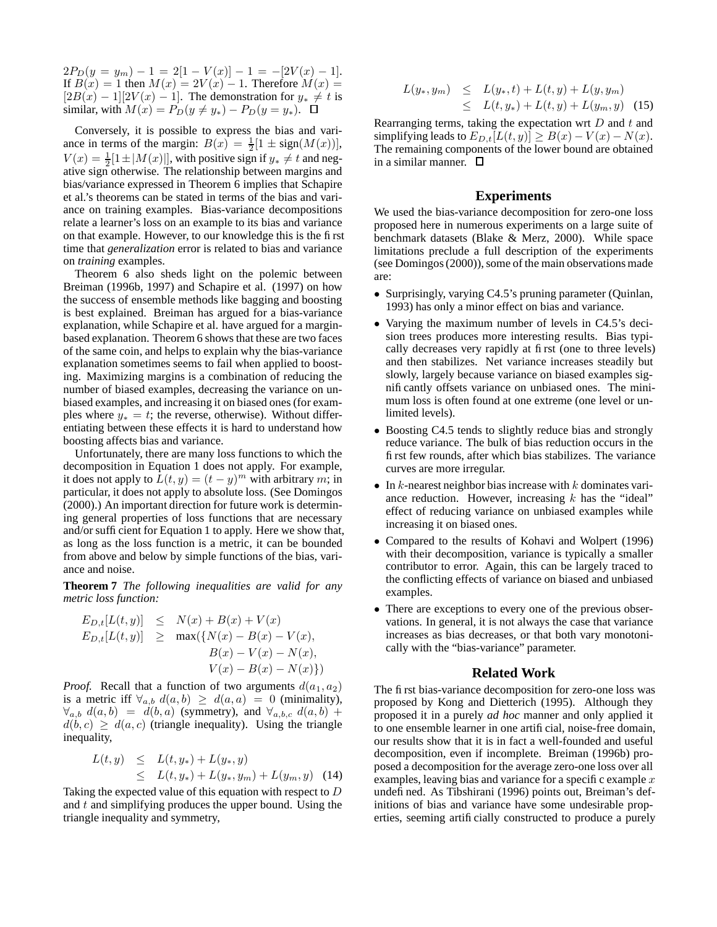$2P_D(y = y_m) - 1 = 2[1 - V(x)] - 1 = -[2V(x) - 1].$ If  $B(x) = 1$  then  $M(x) = 2V(x) - 1$ . Therefore  $M(x) =$  $[2B(x) - 1][2V(x) - 1]$ . The demonstration for  $y_* \neq t$  is similar, with  $M(x) = P_D(y \neq y_*) - P_D(y = y_*)$ .  $\Box$ 

Conversely, it is possible to express the bias and variance in terms of the margin:  $B(x) = \frac{1}{2}[1 \pm sign(M(x))],$  $V(x) = \frac{1}{2}[1 \pm |M(x)|]$ , with positive sign if  $y_* \neq t$  and negative sign otherwise. The relationship between margins and bias/variance expressed in Theorem 6 implies that Schapire et al.'s theorems can be stated in terms of the bias and variance on training examples. Bias-variance decompositions relate a learner's loss on an example to its bias and variance on that example. However, to our knowledge this is the first time that *generalization* error is related to bias and variance on *training* examples.

Theorem 6 also sheds light on the polemic between Breiman (1996b, 1997) and Schapire et al. (1997) on how the success of ensemble methods like bagging and boosting is best explained. Breiman has argued for a bias-variance explanation, while Schapire et al. have argued for a marginbased explanation. Theorem 6 shows that these are two faces of the same coin, and helps to explain why the bias-variance explanation sometimes seems to fail when applied to boosting. Maximizing margins is a combination of reducing the number of biased examples, decreasing the variance on unbiased examples, and increasing it on biased ones (for examples where  $y_* = t$ ; the reverse, otherwise). Without differentiating between these effects it is hard to understand how boosting affects bias and variance.

Unfortunately, there are many loss functions to which the decomposition in Equation 1 does not apply. For example, it does not apply to  $\bar{L}(t, y) = (t - y)^m$  with arbitrary m; in particular, it does not apply to absolute loss. (See Domingos (2000).) An important direction for future work is determining general properties of loss functions that are necessary and/or sufficient for Equation 1 to apply. Here we show that, as long as the loss function is a metric, it can be bounded from above and below by simple functions of the bias, variance and noise.

**Theorem 7** *The following inequalities are valid for any metric loss function:*

$$
E_{D,t}[L(t,y)] \leq N(x) + B(x) + V(x)
$$
  
\n
$$
E_{D,t}[L(t,y)] \geq \max({N(x) - B(x) - V(x), \atop B(x) - V(x) - N(x), \atop V(x) - B(x) - N(x)}]
$$

*Proof.* Recall that a function of two arguments  $d(a_1, a_2)$ is a metric iff  $\forall_{a,b} d(a,b) \geq d(a,a) = 0$  (minimality),  $\forall_{a,b} d(a,b) = d(b,a)$  (symmetry), and  $\forall_{a,b,c} d(a,b)$  +  $d(b, c) \geq d(a, c)$  (triangle inequality). Using the triangle inequality,

$$
L(t, y) \leq L(t, y_*) + L(y_*, y)
$$
  
 
$$
\leq L(t, y_*) + L(y_*, y_m) + L(y_m, y) \quad (14)
$$

Taking the expected value of this equation with respect to D and  $t$  and simplifying produces the upper bound. Using the triangle inequality and symmetry,

$$
L(y_*, y_m) \leq L(y_*, t) + L(t, y) + L(y, y_m)
$$
  
 
$$
\leq L(t, y_*) + L(t, y) + L(y_m, y)
$$
 (15)

Rearranging terms, taking the expectation wrt  $D$  and  $t$  and simplifying leads to  $E_{D,t}[L(t, y)] \ge B(x) - V(x) - N(x)$ . The remaining components of the lower bound are obtained in a similar manner.  $\square$ 

### **Experiments**

We used the bias-variance decomposition for zero-one loss proposed here in numerous experiments on a large suite of benchmark datasets (Blake & Merz, 2000). While space limitations preclude a full description of the experiments (see Domingos (2000)), some of the main observations made are:

- Surprisingly, varying C4.5's pruning parameter (Quinlan, 1993) has only a minor effect on bias and variance.
- Varying the maximum number of levels in C4.5's decision trees produces more interesting results. Bias typically decreases very rapidly at first (one to three levels) and then stabilizes. Net variance increases steadily but slowly, largely because variance on biased examples significantly offsets variance on unbiased ones. The minimum loss is often found at one extreme (one level or unlimited levels).
- Boosting C4.5 tends to slightly reduce bias and strongly reduce variance. The bulk of bias reduction occurs in the first few rounds, after which bias stabilizes. The variance curves are more irregular.
- In  $k$ -nearest neighbor bias increase with  $k$  dominates variance reduction. However, increasing  $k$  has the "ideal" effect of reducing variance on unbiased examples while increasing it on biased ones.
- Compared to the results of Kohavi and Wolpert (1996) with their decomposition, variance is typically a smaller contributor to error. Again, this can be largely traced to the conflicting effects of variance on biased and unbiased examples.
- There are exceptions to every one of the previous observations. In general, it is not always the case that variance increases as bias decreases, or that both vary monotonically with the "bias-variance" parameter.

#### **Related Work**

The first bias-variance decomposition for zero-one loss was proposed by Kong and Dietterich (1995). Although they proposed it in a purely *ad hoc* manner and only applied it to one ensemble learner in one artificial, noise-free domain, our results show that it is in fact a well-founded and useful decomposition, even if incomplete. Breiman (1996b) proposed a decomposition for the average zero-one loss over all examples, leaving bias and variance for a specific example  $x$ undefined. As Tibshirani (1996) points out, Breiman's definitions of bias and variance have some undesirable properties, seeming artificially constructed to produce a purely